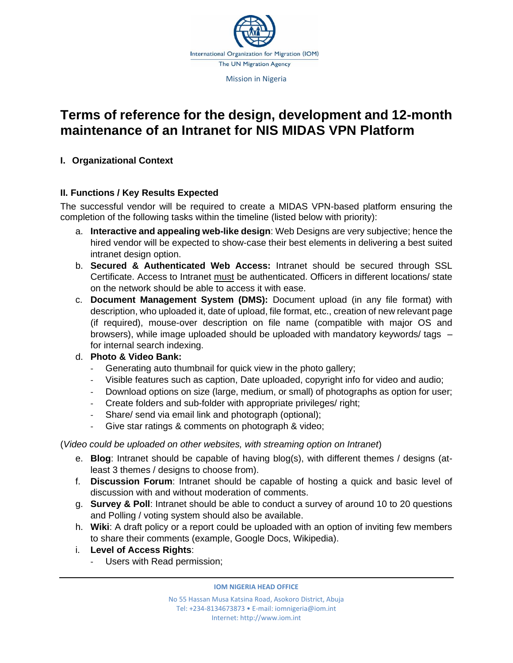

# **Terms of reference for the design, development and 12-month maintenance of an Intranet for NIS MIDAS VPN Platform**

# **I. Organizational Context**

# **II. Functions / Key Results Expected**

The successful vendor will be required to create a MIDAS VPN-based platform ensuring the completion of the following tasks within the timeline (listed below with priority):

- a. **Interactive and appealing web-like design**: Web Designs are very subjective; hence the hired vendor will be expected to show-case their best elements in delivering a best suited intranet design option.
- b. **Secured & Authenticated Web Access:** Intranet should be secured through SSL Certificate. Access to Intranet must be authenticated. Officers in different locations/ state on the network should be able to access it with ease.
- c. **Document Management System (DMS):** Document upload (in any file format) with description, who uploaded it, date of upload, file format, etc., creation of new relevant page (if required), mouse-over description on file name (compatible with major OS and browsers), while image uploaded should be uploaded with mandatory keywords/ tags – for internal search indexing.

# d. **Photo & Video Bank:**

- Generating auto thumbnail for quick view in the photo gallery;
- Visible features such as caption, Date uploaded, copyright info for video and audio;
- Download options on size (large, medium, or small) of photographs as option for user;
- Create folders and sub-folder with appropriate privileges/ right;
- Share/ send via email link and photograph (optional);
- Give star ratings & comments on photograph & video;

(*Video could be uploaded on other websites, with streaming option on Intranet*)

- e. **Blog**: Intranet should be capable of having blog(s), with different themes / designs (atleast 3 themes / designs to choose from).
- f. **Discussion Forum**: Intranet should be capable of hosting a quick and basic level of discussion with and without moderation of comments.
- g. **Survey & Poll**: Intranet should be able to conduct a survey of around 10 to 20 questions and Polling / voting system should also be available.
- h. **Wiki**: A draft policy or a report could be uploaded with an option of inviting few members to share their comments (example, Google Docs, Wikipedia).
- i. **Level of Access Rights**:
	- Users with Read permission;

**IOM NIGERIA HEAD OFFICE**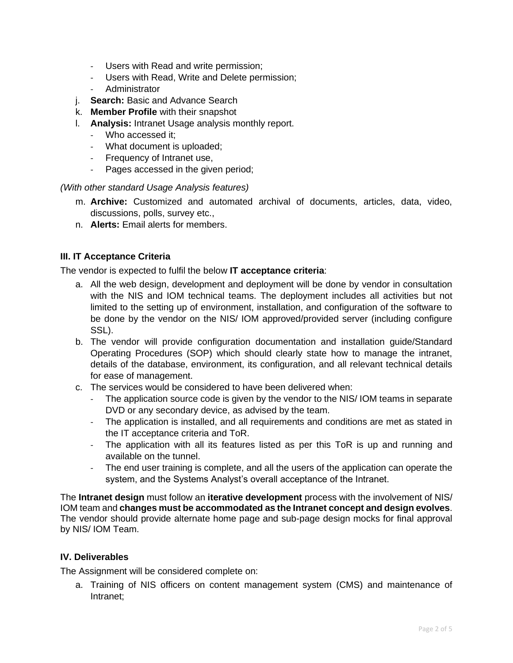- Users with Read and write permission;
- Users with Read, Write and Delete permission;
- **Administrator**
- j. **Search:** Basic and Advance Search
- k. **Member Profile** with their snapshot
- l. **Analysis:** Intranet Usage analysis monthly report.
	- Who accessed it;
	- What document is uploaded;
	- Frequency of Intranet use,
	- Pages accessed in the given period;

*(With other standard Usage Analysis features)* 

- m. **Archive:** Customized and automated archival of documents, articles, data, video, discussions, polls, survey etc.,
- n. **Alerts:** Email alerts for members.

#### **III. IT Acceptance Criteria**

The vendor is expected to fulfil the below **IT acceptance criteria**:

- a. All the web design, development and deployment will be done by vendor in consultation with the NIS and IOM technical teams. The deployment includes all activities but not limited to the setting up of environment, installation, and configuration of the software to be done by the vendor on the NIS/ IOM approved/provided server (including configure SSL).
- b. The vendor will provide configuration documentation and installation guide/Standard Operating Procedures (SOP) which should clearly state how to manage the intranet, details of the database, environment, its configuration, and all relevant technical details for ease of management.
- c. The services would be considered to have been delivered when:
	- The application source code is given by the vendor to the NIS/ IOM teams in separate DVD or any secondary device, as advised by the team.
	- The application is installed, and all requirements and conditions are met as stated in the IT acceptance criteria and ToR.
	- The application with all its features listed as per this ToR is up and running and available on the tunnel.
	- The end user training is complete, and all the users of the application can operate the system, and the Systems Analyst's overall acceptance of the Intranet.

The **Intranet design** must follow an **iterative development** process with the involvement of NIS/ IOM team and **changes must be accommodated as the Intranet concept and design evolves**. The vendor should provide alternate home page and sub-page design mocks for final approval by NIS/ IOM Team.

#### **IV. Deliverables**

The Assignment will be considered complete on:

a. Training of NIS officers on content management system (CMS) and maintenance of Intranet;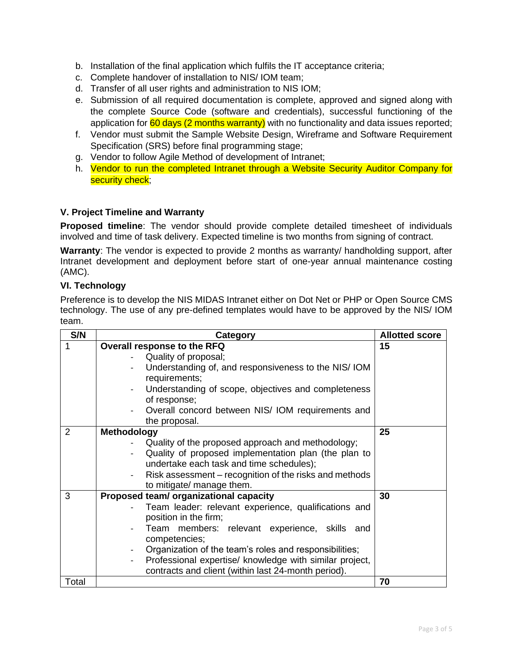- b. Installation of the final application which fulfils the IT acceptance criteria;
- c. Complete handover of installation to NIS/ IOM team;
- d. Transfer of all user rights and administration to NIS IOM;
- e. Submission of all required documentation is complete, approved and signed along with the complete Source Code (software and credentials), successful functioning of the application for  $60$  days (2 months warranty) with no functionality and data issues reported;
- f. Vendor must submit the Sample Website Design, Wireframe and Software Requirement Specification (SRS) before final programming stage;
- g. Vendor to follow Agile Method of development of Intranet;
- h. Vendor to run the completed Intranet through a Website Security Auditor Company for security check;

## **V. Project Timeline and Warranty**

**Proposed timeline**: The vendor should provide complete detailed timesheet of individuals involved and time of task delivery. Expected timeline is two months from signing of contract.

**Warranty**: The vendor is expected to provide 2 months as warranty/ handholding support, after Intranet development and deployment before start of one-year annual maintenance costing (AMC).

## **VI. Technology**

Preference is to develop the NIS MIDAS Intranet either on Dot Net or PHP or Open Source CMS technology. The use of any pre-defined templates would have to be approved by the NIS/ IOM team.

| S/N            | Category                                                                            | <b>Allotted score</b> |
|----------------|-------------------------------------------------------------------------------------|-----------------------|
| 1              | Overall response to the RFQ                                                         | 15                    |
|                | Quality of proposal;                                                                |                       |
|                | Understanding of, and responsiveness to the NIS/IOM                                 |                       |
|                | requirements;                                                                       |                       |
|                | Understanding of scope, objectives and completeness                                 |                       |
|                | of response;                                                                        |                       |
|                | Overall concord between NIS/IOM requirements and                                    |                       |
|                | the proposal.                                                                       |                       |
| $\overline{2}$ | <b>Methodology</b>                                                                  | 25                    |
|                | Quality of the proposed approach and methodology;                                   |                       |
|                | Quality of proposed implementation plan (the plan to<br>$\overline{\phantom{0}}$    |                       |
|                | undertake each task and time schedules);                                            |                       |
|                | Risk assessment – recognition of the risks and methods<br>$\overline{\phantom{0}}$  |                       |
|                | to mitigate/ manage them.                                                           |                       |
| 3              | Proposed team/ organizational capacity                                              | 30                    |
|                | Team leader: relevant experience, qualifications and                                |                       |
|                | position in the firm;                                                               |                       |
|                | Team members: relevant experience, skills and                                       |                       |
|                | competencies;                                                                       |                       |
|                | Organization of the team's roles and responsibilities;                              |                       |
|                | Professional expertise/ knowledge with similar project,<br>$\overline{\phantom{0}}$ |                       |
|                | contracts and client (within last 24-month period).                                 |                       |
| Total          |                                                                                     | 70                    |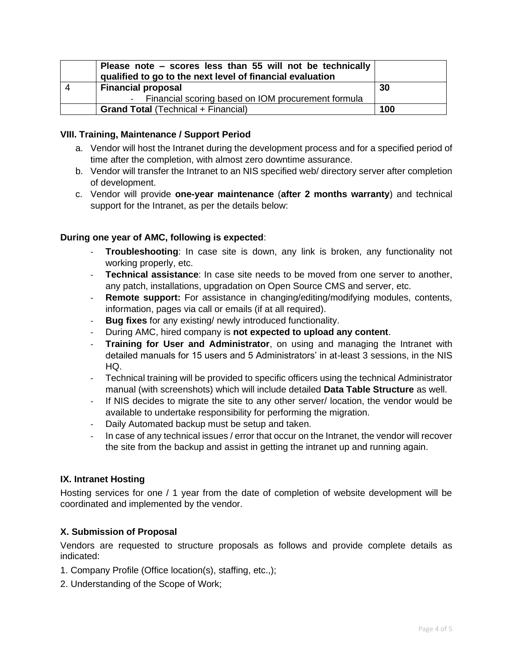|   | Please note - scores less than 55 will not be technically<br>qualified to go to the next level of financial evaluation |     |
|---|------------------------------------------------------------------------------------------------------------------------|-----|
| 4 | <b>Financial proposal</b>                                                                                              | 30  |
|   | - Financial scoring based on IOM procurement formula                                                                   |     |
|   | <b>Grand Total (Technical + Financial)</b>                                                                             | 100 |

#### **VIII. Training, Maintenance / Support Period**

- a. Vendor will host the Intranet during the development process and for a specified period of time after the completion, with almost zero downtime assurance.
- b. Vendor will transfer the Intranet to an NIS specified web/ directory server after completion of development.
- c. Vendor will provide **one-year maintenance** (**after 2 months warranty**) and technical support for the Intranet, as per the details below:

## **During one year of AMC, following is expected**:

- **Troubleshooting**: In case site is down, any link is broken, any functionality not working properly, etc.
- **Technical assistance**: In case site needs to be moved from one server to another, any patch, installations, upgradation on Open Source CMS and server, etc.
- **Remote support:** For assistance in changing/editing/modifying modules, contents, information, pages via call or emails (if at all required).
- **Bug fixes** for any existing/ newly introduced functionality.
- During AMC, hired company is **not expected to upload any content**.
- **Training for User and Administrator**, on using and managing the Intranet with detailed manuals for 15 users and 5 Administrators' in at-least 3 sessions, in the NIS HQ.
- Technical training will be provided to specific officers using the technical Administrator manual (with screenshots) which will include detailed **Data Table Structure** as well.
- If NIS decides to migrate the site to any other server/ location, the vendor would be available to undertake responsibility for performing the migration.
- Daily Automated backup must be setup and taken.
- In case of any technical issues / error that occur on the Intranet, the vendor will recover the site from the backup and assist in getting the intranet up and running again.

#### **IX. Intranet Hosting**

Hosting services for one / 1 year from the date of completion of website development will be coordinated and implemented by the vendor.

#### **X. Submission of Proposal**

Vendors are requested to structure proposals as follows and provide complete details as indicated:

- 1. Company Profile (Office location(s), staffing, etc.,);
- 2. Understanding of the Scope of Work;